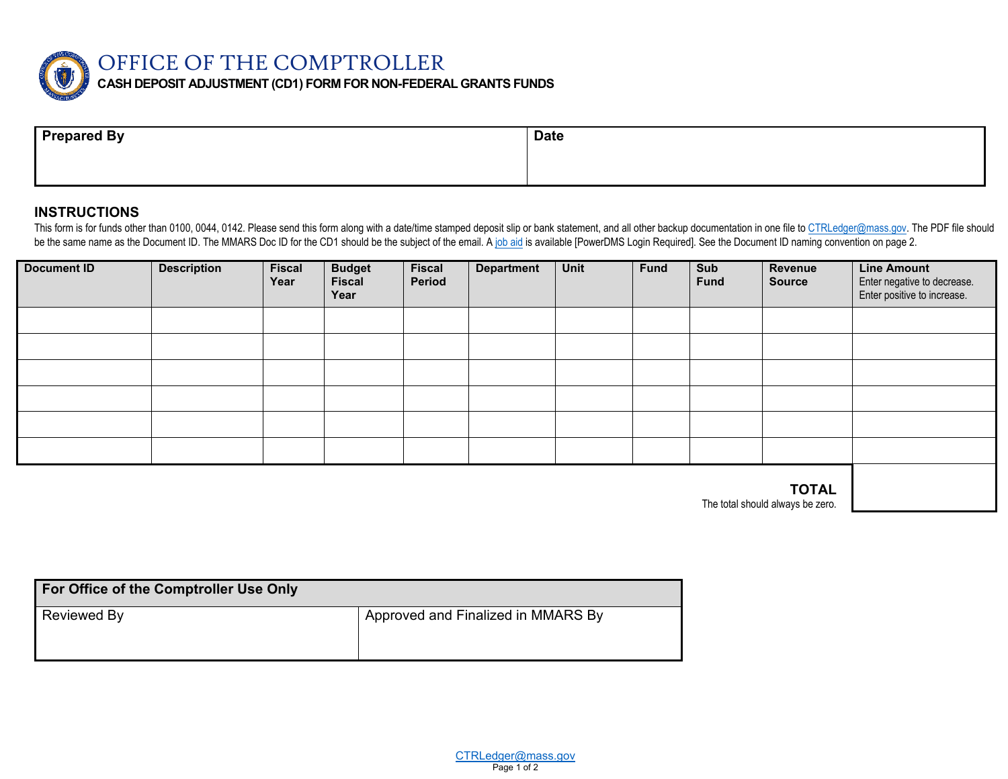

OFFICE OF THE COMPTROLLER

## **CASH DEPOSIT ADJUSTMENT (CD1) FORM FOR NON-FEDERAL GRANTS FUNDS**

| <b>Prepared By</b> | <b>Date</b> |
|--------------------|-------------|
|                    |             |

## **INSTRUCTIONS**

This form is for funds other than 0100, 0044, 0142. Please send this form along with a date/time stamped deposit slip or bank statement, and all other backup documentation in one file t[o CTRLedger@mass.gov.](mailto:CTRLedger@mass.gov) The PDF file sh be the same name as the Document ID. The MMARS Doc ID for the CD1 should be the subject of the email. [A job aid](https://powerdms.com/docs/2544772) is available [PowerDMS Login Required]. See the Document ID naming convention on page 2.

| <b>Document ID</b> | <b>Description</b> | <b>Fiscal</b><br>Year | <b>Budget</b><br><b>Fiscal</b><br>Year | <b>Fiscal</b><br>Period | <b>Department</b> | Unit | <b>Fund</b> | Sub<br><b>Fund</b> | Revenue<br><b>Source</b> | <b>Line Amount</b><br>Enter negative to decrease.<br>Enter positive to increase. |
|--------------------|--------------------|-----------------------|----------------------------------------|-------------------------|-------------------|------|-------------|--------------------|--------------------------|----------------------------------------------------------------------------------|
|                    |                    |                       |                                        |                         |                   |      |             |                    |                          |                                                                                  |
|                    |                    |                       |                                        |                         |                   |      |             |                    |                          |                                                                                  |
|                    |                    |                       |                                        |                         |                   |      |             |                    |                          |                                                                                  |
|                    |                    |                       |                                        |                         |                   |      |             |                    |                          |                                                                                  |
|                    |                    |                       |                                        |                         |                   |      |             |                    |                          |                                                                                  |
|                    |                    |                       |                                        |                         |                   |      |             |                    |                          |                                                                                  |
|                    |                    |                       |                                        |                         |                   |      |             |                    |                          |                                                                                  |

**TOTAL**

The total should always be zero.

| For Office of the Comptroller Use Only |                                    |
|----------------------------------------|------------------------------------|
| Reviewed By                            | Approved and Finalized in MMARS By |
|                                        |                                    |